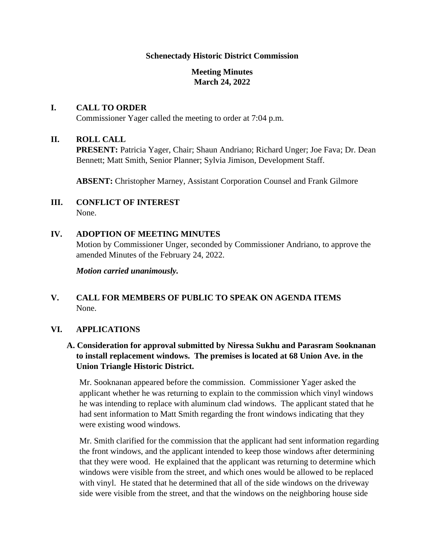#### **Schenectady Historic District Commission**

## **Meeting Minutes March 24, 2022**

#### **I. CALL TO ORDER**

Commissioner Yager called the meeting to order at 7:04 p.m.

#### **II. ROLL CALL**

**PRESENT:** Patricia Yager, Chair; Shaun Andriano; Richard Unger; Joe Fava; Dr. Dean Bennett; Matt Smith, Senior Planner; Sylvia Jimison, Development Staff.

**ABSENT:** Christopher Marney, Assistant Corporation Counsel and Frank Gilmore

- **III. CONFLICT OF INTEREST** None.
- **IV. ADOPTION OF MEETING MINUTES** Motion by Commissioner Unger, seconded by Commissioner Andriano, to approve the amended Minutes of the February 24, 2022.

*Motion carried unanimously.*

## **V. CALL FOR MEMBERS OF PUBLIC TO SPEAK ON AGENDA ITEMS** None.

## **VI. APPLICATIONS**

## **A. Consideration for approval submitted by Niressa Sukhu and Parasram Sooknanan to install replacement windows. The premises is located at 68 Union Ave. in the Union Triangle Historic District.**

Mr. Sooknanan appeared before the commission. Commissioner Yager asked the applicant whether he was returning to explain to the commission which vinyl windows he was intending to replace with aluminum clad windows. The applicant stated that he had sent information to Matt Smith regarding the front windows indicating that they were existing wood windows.

Mr. Smith clarified for the commission that the applicant had sent information regarding the front windows, and the applicant intended to keep those windows after determining that they were wood. He explained that the applicant was returning to determine which windows were visible from the street, and which ones would be allowed to be replaced with vinyl. He stated that he determined that all of the side windows on the driveway side were visible from the street, and that the windows on the neighboring house side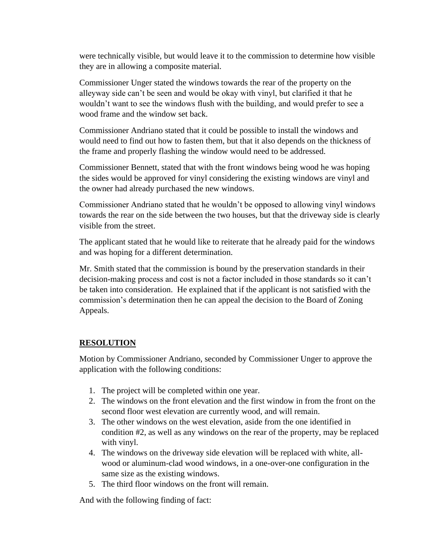were technically visible, but would leave it to the commission to determine how visible they are in allowing a composite material.

Commissioner Unger stated the windows towards the rear of the property on the alleyway side can't be seen and would be okay with vinyl, but clarified it that he wouldn't want to see the windows flush with the building, and would prefer to see a wood frame and the window set back.

Commissioner Andriano stated that it could be possible to install the windows and would need to find out how to fasten them, but that it also depends on the thickness of the frame and properly flashing the window would need to be addressed.

Commissioner Bennett, stated that with the front windows being wood he was hoping the sides would be approved for vinyl considering the existing windows are vinyl and the owner had already purchased the new windows.

Commissioner Andriano stated that he wouldn't be opposed to allowing vinyl windows towards the rear on the side between the two houses, but that the driveway side is clearly visible from the street.

The applicant stated that he would like to reiterate that he already paid for the windows and was hoping for a different determination.

Mr. Smith stated that the commission is bound by the preservation standards in their decision-making process and cost is not a factor included in those standards so it can't be taken into consideration. He explained that if the applicant is not satisfied with the commission's determination then he can appeal the decision to the Board of Zoning Appeals.

# **RESOLUTION**

Motion by Commissioner Andriano, seconded by Commissioner Unger to approve the application with the following conditions:

- 1. The project will be completed within one year.
- 2. The windows on the front elevation and the first window in from the front on the second floor west elevation are currently wood, and will remain.
- 3. The other windows on the west elevation, aside from the one identified in condition #2, as well as any windows on the rear of the property, may be replaced with vinyl.
- 4. The windows on the driveway side elevation will be replaced with white, allwood or aluminum-clad wood windows, in a one-over-one configuration in the same size as the existing windows.
- 5. The third floor windows on the front will remain.

And with the following finding of fact: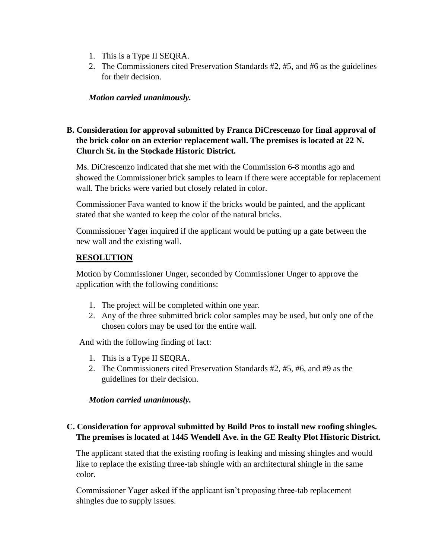- 1. This is a Type II SEQRA.
- 2. The Commissioners cited Preservation Standards #2, #5, and #6 as the guidelines for their decision.

#### *Motion carried unanimously.*

## **B. Consideration for approval submitted by Franca DiCrescenzo for final approval of the brick color on an exterior replacement wall. The premises is located at 22 N. Church St. in the Stockade Historic District.**

Ms. DiCrescenzo indicated that she met with the Commission 6-8 months ago and showed the Commissioner brick samples to learn if there were acceptable for replacement wall. The bricks were varied but closely related in color.

Commissioner Fava wanted to know if the bricks would be painted, and the applicant stated that she wanted to keep the color of the natural bricks.

Commissioner Yager inquired if the applicant would be putting up a gate between the new wall and the existing wall.

#### **RESOLUTION**

Motion by Commissioner Unger, seconded by Commissioner Unger to approve the application with the following conditions:

- 1. The project will be completed within one year.
- 2. Any of the three submitted brick color samples may be used, but only one of the chosen colors may be used for the entire wall.

And with the following finding of fact:

- 1. This is a Type II SEQRA.
- 2. The Commissioners cited Preservation Standards #2, #5, #6, and #9 as the guidelines for their decision.

#### *Motion carried unanimously.*

## **C. Consideration for approval submitted by Build Pros to install new roofing shingles. The premises is located at 1445 Wendell Ave. in the GE Realty Plot Historic District.**

The applicant stated that the existing roofing is leaking and missing shingles and would like to replace the existing three-tab shingle with an architectural shingle in the same color.

Commissioner Yager asked if the applicant isn't proposing three-tab replacement shingles due to supply issues.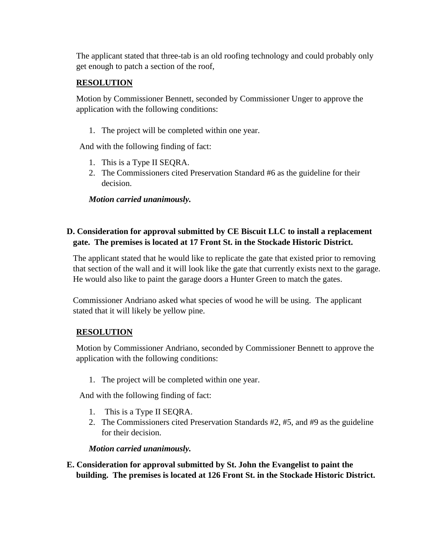The applicant stated that three-tab is an old roofing technology and could probably only get enough to patch a section of the roof,

# **RESOLUTION**

Motion by Commissioner Bennett, seconded by Commissioner Unger to approve the application with the following conditions:

1. The project will be completed within one year.

And with the following finding of fact:

- 1. This is a Type II SEQRA.
- 2. The Commissioners cited Preservation Standard #6 as the guideline for their decision.

*Motion carried unanimously.*

# **D. Consideration for approval submitted by CE Biscuit LLC to install a replacement gate. The premises is located at 17 Front St. in the Stockade Historic District.**

The applicant stated that he would like to replicate the gate that existed prior to removing that section of the wall and it will look like the gate that currently exists next to the garage. He would also like to paint the garage doors a Hunter Green to match the gates.

Commissioner Andriano asked what species of wood he will be using. The applicant stated that it will likely be yellow pine.

# **RESOLUTION**

Motion by Commissioner Andriano, seconded by Commissioner Bennett to approve the application with the following conditions:

1. The project will be completed within one year.

And with the following finding of fact:

- 1. This is a Type II SEQRA.
- 2. The Commissioners cited Preservation Standards #2, #5, and #9 as the guideline for their decision.

*Motion carried unanimously.*

**E. Consideration for approval submitted by St. John the Evangelist to paint the building. The premises is located at 126 Front St. in the Stockade Historic District.**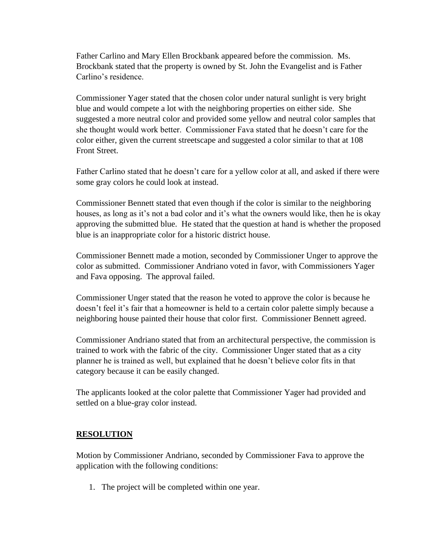Father Carlino and Mary Ellen Brockbank appeared before the commission. Ms. Brockbank stated that the property is owned by St. John the Evangelist and is Father Carlino's residence.

Commissioner Yager stated that the chosen color under natural sunlight is very bright blue and would compete a lot with the neighboring properties on either side. She suggested a more neutral color and provided some yellow and neutral color samples that she thought would work better. Commissioner Fava stated that he doesn't care for the color either, given the current streetscape and suggested a color similar to that at 108 Front Street.

Father Carlino stated that he doesn't care for a yellow color at all, and asked if there were some gray colors he could look at instead.

Commissioner Bennett stated that even though if the color is similar to the neighboring houses, as long as it's not a bad color and it's what the owners would like, then he is okay approving the submitted blue. He stated that the question at hand is whether the proposed blue is an inappropriate color for a historic district house.

Commissioner Bennett made a motion, seconded by Commissioner Unger to approve the color as submitted. Commissioner Andriano voted in favor, with Commissioners Yager and Fava opposing. The approval failed.

Commissioner Unger stated that the reason he voted to approve the color is because he doesn't feel it's fair that a homeowner is held to a certain color palette simply because a neighboring house painted their house that color first. Commissioner Bennett agreed.

Commissioner Andriano stated that from an architectural perspective, the commission is trained to work with the fabric of the city. Commissioner Unger stated that as a city planner he is trained as well, but explained that he doesn't believe color fits in that category because it can be easily changed.

The applicants looked at the color palette that Commissioner Yager had provided and settled on a blue-gray color instead.

## **RESOLUTION**

Motion by Commissioner Andriano, seconded by Commissioner Fava to approve the application with the following conditions:

1. The project will be completed within one year.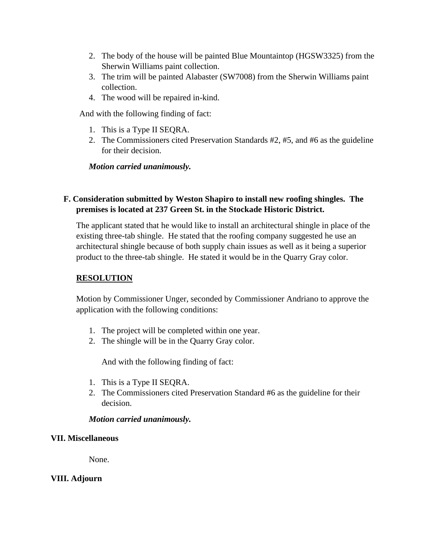- 2. The body of the house will be painted Blue Mountaintop (HGSW3325) from the Sherwin Williams paint collection.
- 3. The trim will be painted Alabaster (SW7008) from the Sherwin Williams paint collection.
- 4. The wood will be repaired in-kind.

And with the following finding of fact:

- 1. This is a Type II SEQRA.
- 2. The Commissioners cited Preservation Standards #2, #5, and #6 as the guideline for their decision.

*Motion carried unanimously.*

# **F. Consideration submitted by Weston Shapiro to install new roofing shingles. The premises is located at 237 Green St. in the Stockade Historic District.**

The applicant stated that he would like to install an architectural shingle in place of the existing three-tab shingle. He stated that the roofing company suggested he use an architectural shingle because of both supply chain issues as well as it being a superior product to the three-tab shingle. He stated it would be in the Quarry Gray color.

## **RESOLUTION**

Motion by Commissioner Unger, seconded by Commissioner Andriano to approve the application with the following conditions:

- 1. The project will be completed within one year.
- 2. The shingle will be in the Quarry Gray color.

And with the following finding of fact:

- 1. This is a Type II SEQRA.
- 2. The Commissioners cited Preservation Standard #6 as the guideline for their decision.

## *Motion carried unanimously.*

## **VII. Miscellaneous**

None.

## **VIII. Adjourn**